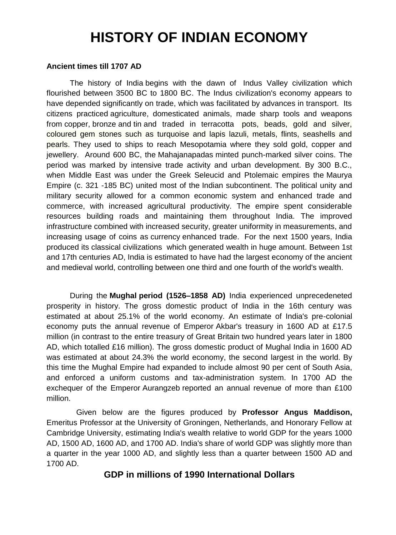# **HISTORY OF INDIAN ECONOMY**

#### **Ancient times till 1707 AD**

The history of India begins with the dawn of [Indus Valley civilization](http://en.wikipedia.org/wiki/Indus_Valley_civilization) which flourished between 3500 BC to 1800 BC. The Indus civilization's economy appears to have depended significantly on trade, which was facilitated by advances in transport. Its citizens practiced [agriculture,](http://en.wikipedia.org/wiki/Agriculture) domesticated animals, made sharp tools and weapons from [copper,](http://en.wikipedia.org/wiki/Copper) [bronze](http://en.wikipedia.org/wiki/Bronze) and [tin](http://en.wikipedia.org/wiki/Tin) and traded in terracotta pots, beads, gold and silver, coloured gem stones such as turquoise and lapis lazuli, metals, flints, seashells and pearls. They used to ships to reach Mesopotamia where they sold gold, copper and jewellery. Around 600 BC, the [Mahajanapadas](http://en.wikipedia.org/wiki/Mahajanapadas) minted punch-marked silver coins. The period was marked by intensive trade activity and urban development. By 300 B.C., when Middle East was under the Greek Seleucid and Ptolemaic empires the [Maurya](http://en.wikipedia.org/wiki/Maurya_Empire)  [Empire](http://en.wikipedia.org/wiki/Maurya_Empire) (c. 321 -185 BC) united most of the [Indian subcontinent.](http://en.wikipedia.org/wiki/Indian_subcontinent) The political unity and military security allowed for a common economic system and enhanced trade and commerce, with increased agricultural productivity. The empire spent considerable resources building roads and maintaining them throughout India. The improved infrastructure combined with increased security, greater uniformity in measurements, and increasing usage of coins as [currency](http://en.wikipedia.org/wiki/Currency) enhanced trade. For the next 1500 years, India produced its [classical civilizations](http://en.wikipedia.org/wiki/Middle_Kingdoms_of_India) which generated wealth in huge amount. Between 1st and 17th centuries AD, India is estimated to have had the largest economy of the ancient and medieval world, controlling between one third and one fourth of the world's wealth.

During the **[Mughal](http://en.wikipedia.org/wiki/Mughal_Empire) period (1526–1858 AD)** India experienced unprecedeneted prosperity in history. The gross domestic product of India in the 16th century was estimated at about 25.1% of the world economy. An estimate of India's pre-colonial economy puts the annual revenue of Emperor [Akbar'](http://en.wikipedia.org/wiki/Akbar)s treasury in 1600 AD at £17.5 million (in contrast to the entire treasury of [Great Britain](http://en.wikipedia.org/wiki/Kingdom_of_Great_Britain) two hundred years later in 1800 AD, which totalled £16 million). The gross domestic product of Mughal India in 1600 AD was estimated at about 24.3% the world economy, the second largest in the world. By this time the Mughal Empire had expanded to include almost 90 per cent of [South Asia,](http://en.wikipedia.org/wiki/South_Asia) and enforced a uniform customs and tax-administration system. In 1700 AD the exchequer of the Emperor [Aurangzeb](http://en.wikipedia.org/wiki/Aurangzeb) reported an annual revenue of more than £100 million.

Given below are the figures produced by **Professor Angus Maddison,**  Emeritus Professor at the University of Groningen, Netherlands, and Honorary Fellow at Cambridge University, estimating India's wealth relative to world GDP for the years 1000 AD, 1500 AD, 1600 AD, and 1700 AD. India's share of world GDP was slightly more than a quarter in the year 1000 AD, and slightly less than a quarter between 1500 AD and 1700 AD.

# **GDP in millions of 1990 International Dollars**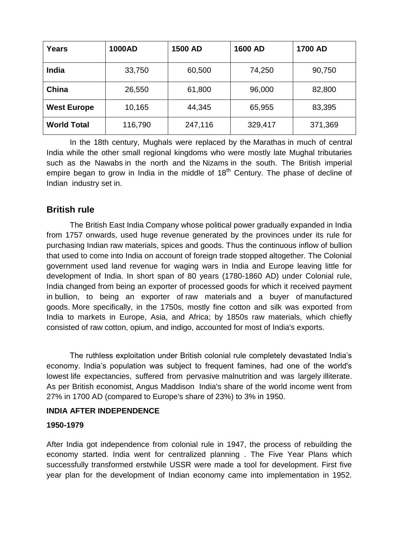| Years              | <b>1000AD</b> | <b>1500 AD</b> | <b>1600 AD</b> | <b>1700 AD</b> |
|--------------------|---------------|----------------|----------------|----------------|
| <b>India</b>       | 33,750        | 60,500         | 74,250         | 90,750         |
| China              | 26,550        | 61,800         | 96,000         | 82,800         |
| <b>West Europe</b> | 10,165        | 44,345         | 65,955         | 83,395         |
| <b>World Total</b> | 116,790       | 247,116        | 329,417        | 371,369        |

In the 18th century, Mughals were replaced by the [Marathas](http://en.wikipedia.org/wiki/Maratha_Empire) in much of central India while the other small regional kingdoms who were mostly late Mughal tributaries such as the [Nawabs](http://en.wikipedia.org/wiki/Nawab) in the north and the [Nizams](http://en.wikipedia.org/wiki/Nizam) in the south. The British imperial empire began to grow in India in the middle of  $18<sup>th</sup>$  Century. The phase of decline of Indian industry set in.

# **British rule**

The British East India Company whose political power gradually expanded in India from 1757 onwards, used huge revenue generated by the provinces under its rule for purchasing Indian raw materials, spices and goods. Thus the continuous inflow of bullion that used to come into India on account of foreign trade stopped altogether. The Colonial government used land revenue for waging wars in India and Europe leaving little for development of India. In short span of 80 years (1780-1860 AD) under Colonial rule, India changed from being an exporter of processed goods for which it received payment in [bullion,](http://en.wikipedia.org/wiki/Bullion) to being an exporter of [raw materials](http://en.wikipedia.org/wiki/Raw_materials) and a buyer of [manufactured](http://en.wikipedia.org/wiki/Manufactured_goods)  [goods.](http://en.wikipedia.org/wiki/Manufactured_goods) More specifically, in the 1750s, mostly fine cotton and silk was exported from India to markets in Europe, Asia, and Africa; by 1850s raw materials, which chiefly consisted of raw cotton, opium, and indigo, accounted for most of India's exports.

The ruthless exploitation under British colonial rule completely devastated India"s economy. India"s population was subject to frequent famines, had one of the world's lowest [life expectancies,](http://en.wikipedia.org/wiki/Life_expectancy) suffered from pervasive [malnutrition](http://en.wikipedia.org/wiki/Malnutrition) and was largely [illiterate.](http://en.wikipedia.org/wiki/Illiterate) As per British economist, [Angus Maddison](http://en.wikipedia.org/wiki/Angus_Maddison) India's share of the world income went from 27% in 1700 AD (compared to Europe's share of 23%) to 3% in 1950.

## **INDIA AFTER INDEPENDENCE**

## **1950-1979**

After India got independence from colonial rule in 1947, the process of rebuilding the economy started. India went for centralized planning . The Five Year Plans which successfully transformed erstwhile USSR were made a tool for development. First five year plan for the development of Indian economy came into implementation in 1952.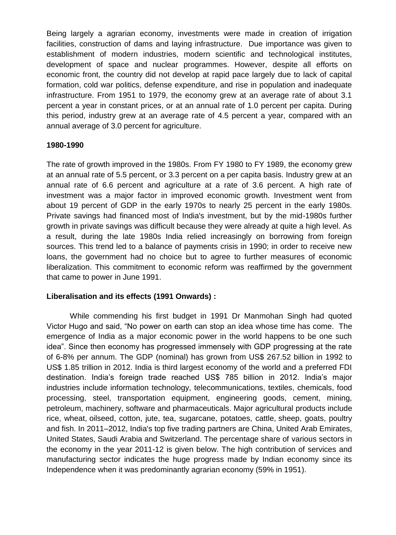Being largely a agrarian economy, investments were made in creation of irrigation facilities, construction of dams and laying infrastructure. Due importance was given to establishment of modern industries, modern scientific and technological institutes, development of space and nuclear programmes. However, despite all efforts on economic front, the country did not develop at rapid pace largely due to lack of capital formation, cold war politics, defense expenditure, and rise in population and inadequate infrastructure. From 1951 to 1979, the economy grew at an average rate of about 3.1 percent a year in constant prices, or at an annual rate of 1.0 percent per capita. During this period, industry grew at an average rate of 4.5 percent a year, compared with an annual average of 3.0 percent for agriculture.

#### **1980-1990**

The rate of growth improved in the 1980s. From FY 1980 to FY 1989, the economy grew at an annual rate of 5.5 percent, or 3.3 percent on a per capita basis. Industry grew at an annual rate of 6.6 percent and agriculture at a rate of 3.6 percent. A high rate of investment was a major factor in improved economic growth. Investment went from about 19 percent of GDP in the early 1970s to nearly 25 percent in the early 1980s. Private savings had financed most of India's investment, but by the mid-1980s further growth in private savings was difficult because they were already at quite a high level. As a result, during the late 1980s India relied increasingly on borrowing from foreign sources. This trend led to a balance of payments crisis in 1990; in order to receive new loans, the government had no choice but to agree to further measures of economic liberalization. This commitment to economic reform was reaffirmed by the government that came to power in June 1991.

#### **Liberalisation and its effects (1991 Onwards) :**

While commending his first budget in 1991 Dr Manmohan Singh had quoted Victor Hugo and said, "No power on earth can stop an idea whose time has come. The emergence of India as a major economic power in the world happens to be one such idea". Since then economy has progressed immensely with GDP progressing at the rate of 6-8% per annum. The GDP (nominal) has grown from US\$ 267.52 billion in 1992 to US\$ 1.85 trillion in 2012. India is third largest economy of the world and a preferred FDI destination. India"s foreign trade reached US\$ 785 billion in 2012. India"s major industries include information technology, telecommunications, textiles, chemicals, food processing, steel, transportation equipment, engineering goods, cement, mining, petroleum, machinery, software and pharmaceuticals. Major agricultural [products](http://en.wikipedia.org/wiki/Product_(business)) include rice, wheat, [oilseed,](http://en.wikipedia.org/wiki/Oilseed) cotton, jute, tea, sugarcane, potatoes, cattle, sheep, goats, poultry and fish. In 2011–2012, India's top five [trading partners](http://en.wikipedia.org/wiki/List_of_the_largest_trading_partners_of_India) are China, United Arab Emirates, United States, Saudi Arabia and Switzerland. The percentage share of various sectors in the economy in the year 2011-12 is given below. The high contribution of services and manufacturing sector indicates the huge progress made by Indian economy since its Independence when it was predominantly agrarian economy (59% in 1951).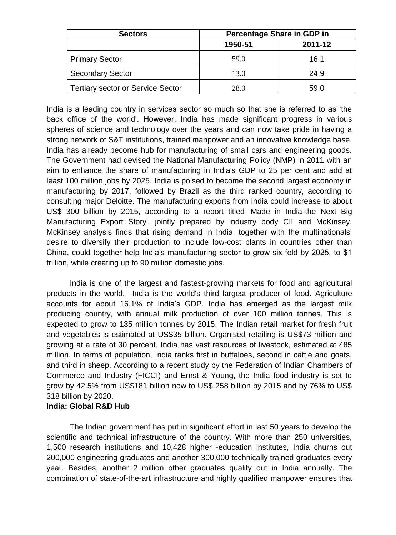| <b>Sectors</b>                           | Percentage Share in GDP in |         |  |
|------------------------------------------|----------------------------|---------|--|
|                                          | 1950-51                    | 2011-12 |  |
| <b>Primary Sector</b>                    | 59.0                       | 16.1    |  |
| <b>Secondary Sector</b>                  | 13.0                       | 24.9    |  |
| <b>Tertiary sector or Service Sector</b> | 28.0                       | 59.0    |  |

India is a leading country in services sector so much so that she is referred to as "the back office of the world". However, India has made significant progress in various spheres of science and technology over the years and can now take pride in having a strong network of S&T institutions, trained manpower and an innovative knowledge base. India has already become hub for manufacturing of small cars and engineering goods. The Government had devised the National Manufacturing Policy (NMP) in 2011 with an aim to enhance the share of manufacturing in India's GDP to 25 per cent and add at least 100 million jobs by 2025. India is poised to become the second largest economy in manufacturing by 2017, followed by Brazil as the third ranked country, according to consulting major Deloitte. The manufacturing exports from India could increase to about US\$ 300 billion by 2015, according to a report titled 'Made in India-the Next Big Manufacturing Export Story', jointly prepared by industry body CII and McKinsey. McKinsey analysis finds that rising demand in India, together with the multinationals" desire to diversify their production to include low-cost plants in countries other than China, could together help India"s manufacturing sector to grow six fold by 2025, to \$1 trillion, while creating up to 90 million domestic jobs.

India is one of the largest and fastest-growing markets for food and agricultural products in the world. India is the world's third largest producer of food. Agriculture accounts for about 16.1% of India"s GDP. India has emerged as the largest milk producing country, with annual milk production of over 100 million tonnes. This is expected to grow to 135 million tonnes by 2015. The Indian retail market for fresh fruit and vegetables is estimated at US\$35 billion. Organised retailing is US\$73 million and growing at a rate of 30 percent. India has vast resources of livestock, estimated at 485 million. In terms of population, India ranks first in buffaloes, second in cattle and goats, and third in sheep. According to a recent study by the Federation of Indian Chambers of Commerce and Industry (FICCI) and Ernst & Young, the India food industry is set to grow by 42.5% from US\$181 billion now to US\$ 258 billion by 2015 and by 76% to US\$ 318 billion by 2020.

#### **India: Global R&D Hub**

The Indian government has put in significant effort in last 50 years to develop the scientific and technical infrastructure of the country. With more than 250 universities, 1,500 research institutions and 10,428 higher -education institutes, India churns out 200,000 engineering graduates and another 300,000 technically trained graduates every year. Besides, another 2 million other graduates qualify out in India annually. The combination of state-of-the-art infrastructure and highly qualified manpower ensures that